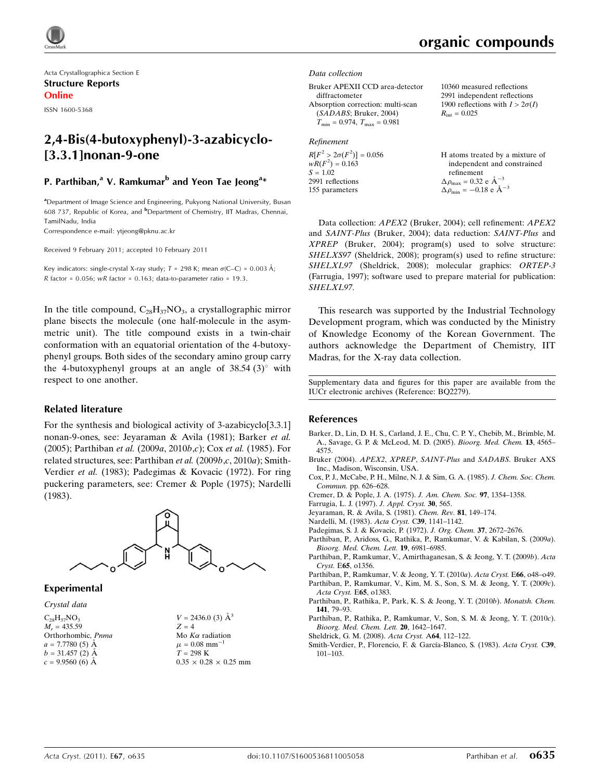Acta Crystallographica Section E Structure Reports Online

ISSN 1600-5368

## 2,4-Bis(4-butoxyphenyl)-3-azabicyclo- [3.3.1]nonan-9-one

### P. Parthiban,<sup>a</sup> V. Ramkumar<sup>b</sup> and Yeon Tae Jeong<sup>a</sup>\*

<sup>a</sup>Department of Image Science and Engineering, Pukyong National University, Busan 608 737, Republic of Korea, and <sup>b</sup>Department of Chemistry, IIT Madras, Chennai, TamilNadu, India

Correspondence e-mail: [ytjeong@pknu.ac.kr](http://scripts.iucr.org/cgi-bin/cr.cgi?rm=pdfbb&cnor=bq2279&bbid=BB16)

Received 9 February 2011; accepted 10 February 2011

Key indicators: single-crystal X-ray study;  $T = 298$  K; mean  $\sigma$ (C–C) = 0.003 Å; R factor =  $0.056$ ; wR factor =  $0.163$ ; data-to-parameter ratio = 19.3.

In the title compound,  $C_{28}H_{37}NO_3$ , a crystallographic mirror plane bisects the molecule (one half-molecule in the asymmetric unit). The title compound exists in a twin-chair conformation with an equatorial orientation of the 4-butoxyphenyl groups. Both sides of the secondary amino group carry the 4-butoxyphenyl groups at an angle of  $38.54(3)^\circ$  with respect to one another.

#### Related literature

For the synthesis and biological activity of 3-azabicyclo[3.3.1] nonan-9-ones, see: Jeyaraman & Avila (1981); Barker et al. (2005); Parthiban et al. (2009a, 2010b,c); Cox et al. (1985). For related structures, see: Parthiban et al. (2009b,c, 2010a); Smith-Verdier et al. (1983); Padegimas & Kovacic (1972). For ring puckering parameters, see: Cremer & Pople (1975); Nardelli (1983).



#### Experimental

Crystal data

 $C_{28}H_{37}NO_3$  $M_r = 435.59$ Orthorhombic, Pnma  $a = 7.7780(5)$  Å  $b = 31.457(2)$  Å  $c = 9.9560(6)$  Å



## organic compounds

10360 measured reflections 2991 independent reflections 1900 reflections with  $I > 2\sigma(I)$ 

 $R_{\text{int}} = 0.025$ 

Data collection

| Bruker APEXII CCD area-detector         |
|-----------------------------------------|
| diffractometer                          |
| Absorption correction: multi-scan       |
| (SADABS; Bruker, 2004)                  |
| $T_{\min} = 0.974$ , $T_{\max} = 0.981$ |
|                                         |

## Refinement

| $R[F^2 > 2\sigma(F^2)] = 0.056$ | H atoms treated by a mixture of                    |
|---------------------------------|----------------------------------------------------|
| $wR(F^2) = 0.163$               | independent and constrained                        |
| $S = 1.02$                      | refinement                                         |
| 2991 reflections                | $\Delta \rho_{\text{max}} = 0.32 \text{ e A}^{-3}$ |
| 155 parameters                  | $\Delta \rho_{\text{min}} = -0.18$ e $\AA^{-3}$    |

Data collection: APEX2 (Bruker, 2004); cell refinement: APEX2 and SAINT-Plus (Bruker, 2004); data reduction: SAINT-Plus and XPREP (Bruker, 2004); program(s) used to solve structure: SHELXS97 (Sheldrick, 2008); program(s) used to refine structure: SHELXL97 (Sheldrick, 2008); molecular graphics: ORTEP-3 (Farrugia, 1997); software used to prepare material for publication: SHELXL97.

This research was supported by the Industrial Technology Development program, which was conducted by the Ministry of Knowledge Economy of the Korean Government. The authors acknowledge the Department of Chemistry, IIT Madras, for the X-ray data collection.

Supplementary data and figures for this paper are available from the IUCr electronic archives (Reference: BQ2279).

#### References

- [Barker, D., Lin, D. H. S., Carland, J. E., Chu, C. P. Y., Chebib, M., Brimble, M.](http://scripts.iucr.org/cgi-bin/cr.cgi?rm=pdfbb&cnor=bq2279&bbid=BB1) [A., Savage, G. P. & McLeod, M. D. \(2005\).](http://scripts.iucr.org/cgi-bin/cr.cgi?rm=pdfbb&cnor=bq2279&bbid=BB1) Bioorg. Med. Chem. 13, 4565– [4575.](http://scripts.iucr.org/cgi-bin/cr.cgi?rm=pdfbb&cnor=bq2279&bbid=BB1)
- [Bruker \(2004\).](http://scripts.iucr.org/cgi-bin/cr.cgi?rm=pdfbb&cnor=bq2279&bbid=BB2) APEX2, XPREP, SAINT-Plus and SADABS. Bruker AXS [Inc., Madison, Wisconsin, USA.](http://scripts.iucr.org/cgi-bin/cr.cgi?rm=pdfbb&cnor=bq2279&bbid=BB2)
- [Cox, P. J., McCabe, P. H., Milne, N. J. & Sim, G. A. \(1985\).](http://scripts.iucr.org/cgi-bin/cr.cgi?rm=pdfbb&cnor=bq2279&bbid=BB3) J. Chem. Soc. Chem. Commun. [pp. 626–628.](http://scripts.iucr.org/cgi-bin/cr.cgi?rm=pdfbb&cnor=bq2279&bbid=BB3)
- [Cremer, D. & Pople, J. A. \(1975\).](http://scripts.iucr.org/cgi-bin/cr.cgi?rm=pdfbb&cnor=bq2279&bbid=BB4) J. Am. Chem. Soc. 97, 1354–1358.
- [Farrugia, L. J. \(1997\).](http://scripts.iucr.org/cgi-bin/cr.cgi?rm=pdfbb&cnor=bq2279&bbid=BB5) J. Appl. Cryst. 30, 565.
- [Jeyaraman, R. & Avila, S. \(1981\).](http://scripts.iucr.org/cgi-bin/cr.cgi?rm=pdfbb&cnor=bq2279&bbid=BB6) Chem. Rev. 81, 149–174.
- [Nardelli, M. \(1983\).](http://scripts.iucr.org/cgi-bin/cr.cgi?rm=pdfbb&cnor=bq2279&bbid=BB7) Acta Cryst. C39, 1141–1142.
- [Padegimas, S. J. & Kovacic, P. \(1972\).](http://scripts.iucr.org/cgi-bin/cr.cgi?rm=pdfbb&cnor=bq2279&bbid=BB8) J. Org. Chem. 37, 2672–2676.
- [Parthiban, P., Aridoss, G., Rathika, P., Ramkumar, V. & Kabilan, S. \(2009](http://scripts.iucr.org/cgi-bin/cr.cgi?rm=pdfbb&cnor=bq2279&bbid=BB9)a). [Bioorg. Med. Chem. Lett.](http://scripts.iucr.org/cgi-bin/cr.cgi?rm=pdfbb&cnor=bq2279&bbid=BB9) 19, 6981–6985.
- [Parthiban, P., Ramkumar, V., Amirthaganesan, S. & Jeong, Y. T. \(2009](http://scripts.iucr.org/cgi-bin/cr.cgi?rm=pdfbb&cnor=bq2279&bbid=BB10)b). Acta Cryst. E65[, o1356.](http://scripts.iucr.org/cgi-bin/cr.cgi?rm=pdfbb&cnor=bq2279&bbid=BB10)
- [Parthiban, P., Ramkumar, V. & Jeong, Y. T. \(2010](http://scripts.iucr.org/cgi-bin/cr.cgi?rm=pdfbb&cnor=bq2279&bbid=BB11)a). Acta Cryst. E66, o48–o49.
- [Parthiban, P., Ramkumar, V., Kim, M. S., Son, S. M. & Jeong, Y. T. \(2009](http://scripts.iucr.org/cgi-bin/cr.cgi?rm=pdfbb&cnor=bq2279&bbid=BB12)c). [Acta Cryst.](http://scripts.iucr.org/cgi-bin/cr.cgi?rm=pdfbb&cnor=bq2279&bbid=BB12) E65, o1383.
- [Parthiban, P., Rathika, P., Park, K. S. & Jeong, Y. T. \(2010](http://scripts.iucr.org/cgi-bin/cr.cgi?rm=pdfbb&cnor=bq2279&bbid=BB13)b). Monatsh. Chem. 141[, 79–93.](http://scripts.iucr.org/cgi-bin/cr.cgi?rm=pdfbb&cnor=bq2279&bbid=BB13)
- [Parthiban, P., Rathika, P., Ramkumar, V., Son, S. M. & Jeong, Y. T. \(2010](http://scripts.iucr.org/cgi-bin/cr.cgi?rm=pdfbb&cnor=bq2279&bbid=BB14)c). [Bioorg. Med. Chem. Lett.](http://scripts.iucr.org/cgi-bin/cr.cgi?rm=pdfbb&cnor=bq2279&bbid=BB14) 20, 1642–1647.
- [Sheldrick, G. M. \(2008\).](http://scripts.iucr.org/cgi-bin/cr.cgi?rm=pdfbb&cnor=bq2279&bbid=BB15) Acta Cryst. A64, 112–122.
- Smith-Verdier, P., Florencio, F. & García-Blanco, S. (1983). Acta Cryst. C39, [101–103.](http://scripts.iucr.org/cgi-bin/cr.cgi?rm=pdfbb&cnor=bq2279&bbid=BB16)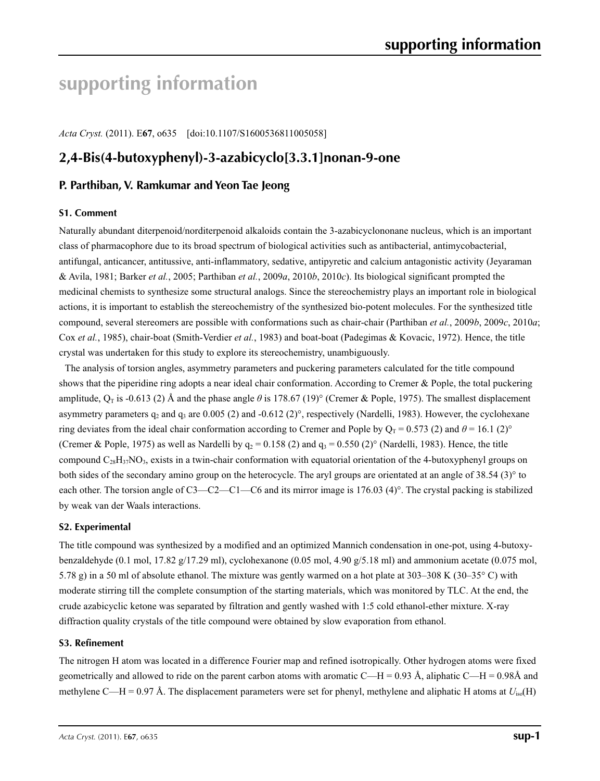# **supporting information**

*Acta Cryst.* (2011). E**67**, o635 [doi:10.1107/S1600536811005058]

# **2,4-Bis(4-butoxyphenyl)-3-azabicyclo[3.3.1]nonan-9-one**

## **P. Parthiban, V. Ramkumar and Yeon Tae Jeong**

#### **S1. Comment**

Naturally abundant diterpenoid/norditerpenoid alkaloids contain the 3-azabicyclononane nucleus, which is an important class of pharmacophore due to its broad spectrum of biological activities such as antibacterial, antimycobacterial, antifungal, anticancer, antitussive, anti-inflammatory, sedative, antipyretic and calcium antagonistic activity (Jeyaraman & Avila, 1981; Barker *et al.*, 2005; Parthiban *et al.*, 2009*a*, 2010*b*, 2010*c*). Its biological significant prompted the medicinal chemists to synthesize some structural analogs. Since the stereochemistry plays an important role in biological actions, it is important to establish the stereochemistry of the synthesized bio-potent molecules. For the synthesized title compound, several stereomers are possible with conformations such as chair-chair (Parthiban *et al.*, 2009*b*, 2009*c*, 2010*a*; Cox *et al.*, 1985), chair-boat (Smith-Verdier *et al.*, 1983) and boat-boat (Padegimas & Kovacic, 1972). Hence, the title crystal was undertaken for this study to explore its stereochemistry, unambiguously.

The analysis of torsion angles, asymmetry parameters and puckering parameters calculated for the title compound shows that the piperidine ring adopts a near ideal chair conformation. According to Cremer & Pople, the total puckering amplitude,  $Q_T$  is -0.613 (2) Å and the phase angle  $\theta$  is 178.67 (19)° (Cremer & Pople, 1975). The smallest displacement asymmetry parameters  $q_2$  and  $q_3$  are 0.005 (2) and -0.612 (2)°, respectively (Nardelli, 1983). However, the cyclohexane ring deviates from the ideal chair conformation according to Cremer and Pople by  $Q_T = 0.573$  (2) and  $\theta = 16.1$  (2)° (Cremer & Pople, 1975) as well as Nardelli by  $q_2 = 0.158$  (2) and  $q_3 = 0.550$  (2)° (Nardelli, 1983). Hence, the title compound  $C_{28}H_{37}NO_3$ , exists in a twin-chair conformation with equatorial orientation of the 4-butoxyphenyl groups on both sides of the secondary amino group on the heterocycle. The aryl groups are orientated at an angle of 38.54 (3)° to each other. The torsion angle of C3—C2—C1—C6 and its mirror image is 176.03 (4)°. The crystal packing is stabilized by weak van der Waals interactions.

#### **S2. Experimental**

The title compound was synthesized by a modified and an optimized Mannich condensation in one-pot, using 4-butoxybenzaldehyde (0.1 mol, 17.82 g/17.29 ml), cyclohexanone (0.05 mol, 4.90 g/5.18 ml) and ammonium acetate (0.075 mol, 5.78 g) in a 50 ml of absolute ethanol. The mixture was gently warmed on a hot plate at 303–308 K (30–35° C) with moderate stirring till the complete consumption of the starting materials, which was monitored by TLC. At the end, the crude azabicyclic ketone was separated by filtration and gently washed with 1:5 cold ethanol-ether mixture. X-ray diffraction quality crystals of the title compound were obtained by slow evaporation from ethanol.

#### **S3. Refinement**

The nitrogen H atom was located in a difference Fourier map and refined isotropically. Other hydrogen atoms were fixed geometrically and allowed to ride on the parent carbon atoms with aromatic C—H = 0.93 Å, aliphatic C—H = 0.98Å and methylene C—H = 0.97 Å. The displacement parameters were set for phenyl, methylene and aliphatic H atoms at  $U_{iso}(H)$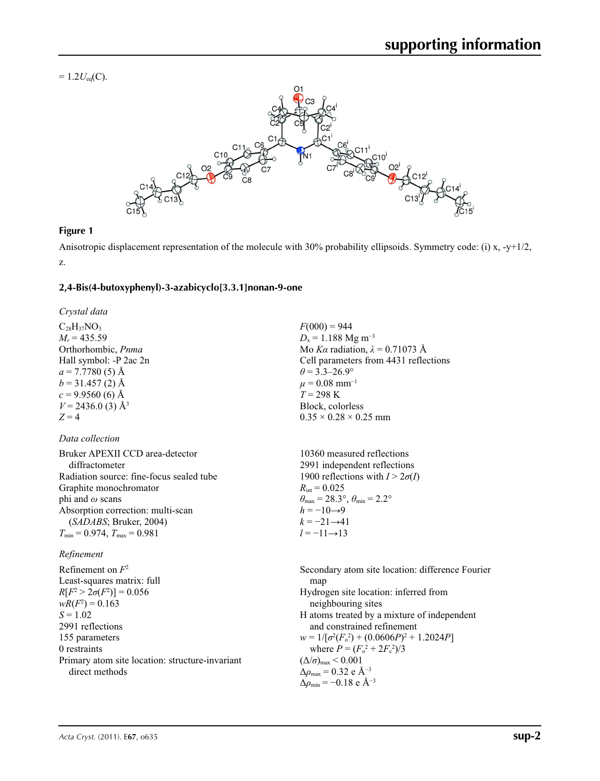$= 1.2 U_{eq}(C)$ .



#### **Figure 1**

Anisotropic displacement representation of the molecule with 30% probability ellipsoids. Symmetry code: (i) x, -y+1/2, z.

#### **2,4-Bis(4-butoxyphenyl)-3-azabicyclo[3.3.1]nonan-9-one**

*Crystal data*

 $C_{28}H_{37}NO_3$  $M_r = 435.59$ Orthorhombic, *Pnma* Hall symbol: -P 2ac 2n  $a = 7.7780(5)$  Å  $b = 31.457(2)$  Å  $c = 9.9560$  (6) Å  $V = 2436.0$  (3) Å<sup>3</sup>  $Z = 4$ 

#### *Data collection*

| Bruker APEXII CCD area-detector<br>diffractometer | 10360 measured reflections<br>2991 independent reflections              |
|---------------------------------------------------|-------------------------------------------------------------------------|
| Radiation source: fine-focus sealed tube          | 1900 reflections with $I > 2\sigma(I)$                                  |
| Graphite monochromator                            | $R_{\text{int}} = 0.025$                                                |
| phi and $\omega$ scans                            | $\theta_{\text{max}} = 28.3^{\circ}, \theta_{\text{min}} = 2.2^{\circ}$ |
| Absorption correction: multi-scan                 | $h = -10 \rightarrow 9$                                                 |
| (SADABS; Bruker, 2004)                            | $k = -21 \rightarrow 41$                                                |
| $T_{\min} = 0.974$ , $T_{\max} = 0.981$           | $l = -11 \rightarrow 13$                                                |

#### *Refinement*

Refinement on *F*<sup>2</sup> Least-squares matrix: full  $R[F^2 > 2\sigma(F^2)] = 0.056$  $wR(F^2) = 0.163$  $S = 1.02$ 2991 reflections 155 parameters 0 restraints Primary atom site location: structure-invariant direct methods

 $F(000) = 944$  $D_x = 1.188$  Mg m<sup>-3</sup> Mo *Kα* radiation, *λ* = 0.71073 Å Cell parameters from 4431 reflections  $\theta$  = 3.3–26.9°  $\mu$  = 0.08 mm<sup>-1</sup>  $T = 298 \text{ K}$ Block, colorless  $0.35 \times 0.28 \times 0.25$  mm

Secondary atom site location: difference Fourier map Hydrogen site location: inferred from neighbouring sites H atoms treated by a mixture of independent and constrained refinement  $w = 1/[\sigma^2(F_0^2) + (0.0606P)^2 + 1.2024P]$ where  $P = (F_o^2 + 2F_c^2)/3$  $(\Delta/\sigma)_{\text{max}}$  < 0.001 Δ*ρ*max = 0.32 e Å−3  $\Delta\rho_{\text{min}} = -0.18$  e Å<sup>-3</sup>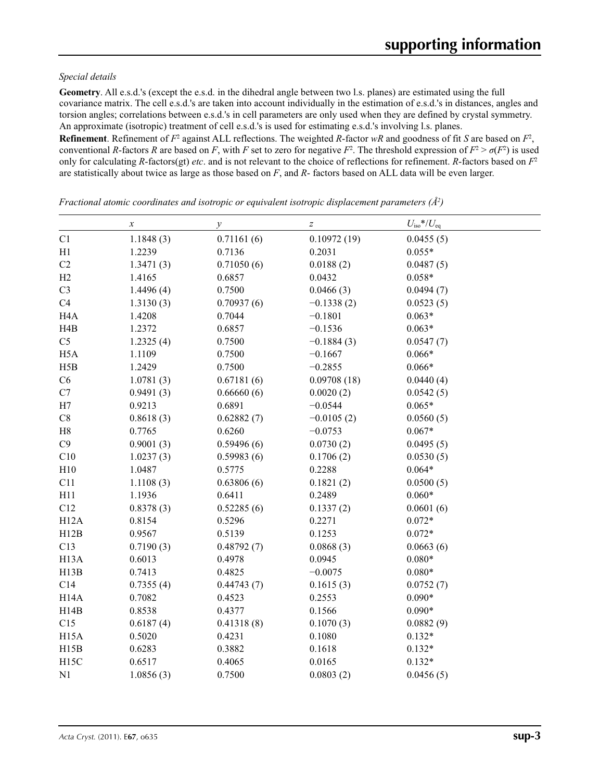#### *Special details*

**Geometry**. All e.s.d.'s (except the e.s.d. in the dihedral angle between two l.s. planes) are estimated using the full covariance matrix. The cell e.s.d.'s are taken into account individually in the estimation of e.s.d.'s in distances, angles and torsion angles; correlations between e.s.d.'s in cell parameters are only used when they are defined by crystal symmetry. An approximate (isotropic) treatment of cell e.s.d.'s is used for estimating e.s.d.'s involving l.s. planes.

**Refinement**. Refinement of  $F^2$  against ALL reflections. The weighted R-factor wR and goodness of fit *S* are based on  $F^2$ , conventional *R*-factors *R* are based on *F*, with *F* set to zero for negative  $F^2$ . The threshold expression of  $F^2 > \sigma(F^2)$  is used only for calculating *R*-factors(gt) *etc*. and is not relevant to the choice of reflections for refinement. *R*-factors based on *F*<sup>2</sup> are statistically about twice as large as those based on *F*, and *R*- factors based on ALL data will be even larger.

|                   | $\boldsymbol{\chi}$ | $\mathcal{Y}$ | $\boldsymbol{Z}$ | $U_{\rm iso}*/U_{\rm eq}$ |  |
|-------------------|---------------------|---------------|------------------|---------------------------|--|
| C1                | 1.1848(3)           | 0.71161(6)    | 0.10972(19)      | 0.0455(5)                 |  |
| H1                | 1.2239              | 0.7136        | 0.2031           | $0.055*$                  |  |
| C2                | 1.3471(3)           | 0.71050(6)    | 0.0188(2)        | 0.0487(5)                 |  |
| H2                | 1.4165              | 0.6857        | 0.0432           | $0.058*$                  |  |
| C <sub>3</sub>    | 1.4496(4)           | 0.7500        | 0.0466(3)        | 0.0494(7)                 |  |
| C4                | 1.3130(3)           | 0.70937(6)    | $-0.1338(2)$     | 0.0523(5)                 |  |
| H <sub>4</sub> A  | 1.4208              | 0.7044        | $-0.1801$        | $0.063*$                  |  |
| H4B               | 1.2372              | 0.6857        | $-0.1536$        | $0.063*$                  |  |
| C <sub>5</sub>    | 1.2325(4)           | 0.7500        | $-0.1884(3)$     | 0.0547(7)                 |  |
| H <sub>5</sub> A  | 1.1109              | 0.7500        | $-0.1667$        | $0.066*$                  |  |
| H5B               | 1.2429              | 0.7500        | $-0.2855$        | $0.066*$                  |  |
| C6                | 1.0781(3)           | 0.67181(6)    | 0.09708(18)      | 0.0440(4)                 |  |
| C7                | 0.9491(3)           | 0.66660(6)    | 0.0020(2)        | 0.0542(5)                 |  |
| H7                | 0.9213              | 0.6891        | $-0.0544$        | $0.065*$                  |  |
| $\rm C8$          | 0.8618(3)           | 0.62882(7)    | $-0.0105(2)$     | 0.0560(5)                 |  |
| $\rm H8$          | 0.7765              | 0.6260        | $-0.0753$        | $0.067*$                  |  |
| C9                | 0.9001(3)           | 0.59496(6)    | 0.0730(2)        | 0.0495(5)                 |  |
| C10               | 1.0237(3)           | 0.59983(6)    | 0.1706(2)        | 0.0530(5)                 |  |
| H10               | 1.0487              | 0.5775        | 0.2288           | $0.064*$                  |  |
| C11               | 1.1108(3)           | 0.63806(6)    | 0.1821(2)        | 0.0500(5)                 |  |
| H11               | 1.1936              | 0.6411        | 0.2489           | $0.060*$                  |  |
| C12               | 0.8378(3)           | 0.52285(6)    | 0.1337(2)        | 0.0601(6)                 |  |
| H12A              | 0.8154              | 0.5296        | 0.2271           | $0.072*$                  |  |
| H12B              | 0.9567              | 0.5139        | 0.1253           | $0.072*$                  |  |
| C13               | 0.7190(3)           | 0.48792(7)    | 0.0868(3)        | 0.0663(6)                 |  |
| H <sub>13</sub> A | 0.6013              | 0.4978        | 0.0945           | $0.080*$                  |  |
| H13B              | 0.7413              | 0.4825        | $-0.0075$        | $0.080*$                  |  |
| C14               | 0.7355(4)           | 0.44743(7)    | 0.1615(3)        | 0.0752(7)                 |  |
| H14A              | 0.7082              | 0.4523        | 0.2553           | $0.090*$                  |  |
| H14B              | 0.8538              | 0.4377        | 0.1566           | $0.090*$                  |  |
| C15               | 0.6187(4)           | 0.41318(8)    | 0.1070(3)        | 0.0882(9)                 |  |
| H <sub>15</sub> A | 0.5020              | 0.4231        | 0.1080           | $0.132*$                  |  |
| H15B              | 0.6283              | 0.3882        | 0.1618           | $0.132*$                  |  |
| H15C              | 0.6517              | 0.4065        | 0.0165           | $0.132*$                  |  |
| N1                | 1.0856(3)           | 0.7500        | 0.0803(2)        | 0.0456(5)                 |  |

*Fractional atomic coordinates and isotropic or equivalent isotropic displacement parameters (Å2 )*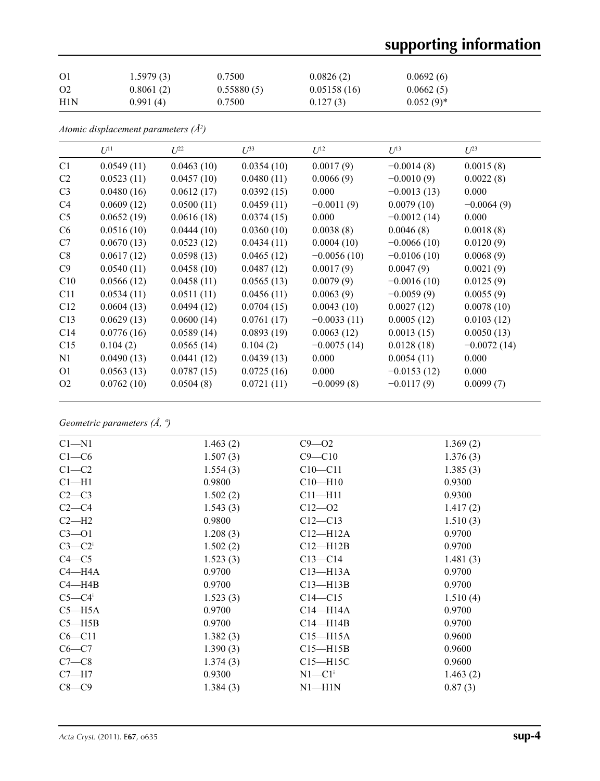# **supporting information**

| O <sub>1</sub> | 1.5979(3) | 0.7500     | 0.0826(2)   | 0.0692(6)    |
|----------------|-----------|------------|-------------|--------------|
| O <sub>2</sub> | 0.8061(2) | 0.55880(5) | 0.05158(16) | 0.0662(5)    |
| H1N            | 0.991(4)  | 0.7500     | 0.127(3)    | $0.052(9)^*$ |

*Atomic displacement parameters (Å2 )*

|                | $U^{11}$   | $L^{22}$   | $\mathcal{L}^{\beta 3}$ | $U^{12}$      | $U^{13}$      | $U^{23}$      |
|----------------|------------|------------|-------------------------|---------------|---------------|---------------|
| C1             | 0.0549(11) | 0.0463(10) | 0.0354(10)              | 0.0017(9)     | $-0.0014(8)$  | 0.0015(8)     |
| C <sub>2</sub> | 0.0523(11) | 0.0457(10) | 0.0480(11)              | 0.0066(9)     | $-0.0010(9)$  | 0.0022(8)     |
| C <sub>3</sub> | 0.0480(16) | 0.0612(17) | 0.0392(15)              | 0.000         | $-0.0013(13)$ | 0.000         |
| C <sub>4</sub> | 0.0609(12) | 0.0500(11) | 0.0459(11)              | $-0.0011(9)$  | 0.0079(10)    | $-0.0064(9)$  |
| C <sub>5</sub> | 0.0652(19) | 0.0616(18) | 0.0374(15)              | 0.000         | $-0.0012(14)$ | 0.000         |
| C <sub>6</sub> | 0.0516(10) | 0.0444(10) | 0.0360(10)              | 0.0038(8)     | 0.0046(8)     | 0.0018(8)     |
| C7             | 0.0670(13) | 0.0523(12) | 0.0434(11)              | 0.0004(10)    | $-0.0066(10)$ | 0.0120(9)     |
| C8             | 0.0617(12) | 0.0598(13) | 0.0465(12)              | $-0.0056(10)$ | $-0.0106(10)$ | 0.0068(9)     |
| C9             | 0.0540(11) | 0.0458(10) | 0.0487(12)              | 0.0017(9)     | 0.0047(9)     | 0.0021(9)     |
| C10            | 0.0566(12) | 0.0458(11) | 0.0565(13)              | 0.0079(9)     | $-0.0016(10)$ | 0.0125(9)     |
| C11            | 0.0534(11) | 0.0511(11) | 0.0456(11)              | 0.0063(9)     | $-0.0059(9)$  | 0.0055(9)     |
| C12            | 0.0604(13) | 0.0494(12) | 0.0704(15)              | 0.0043(10)    | 0.0027(12)    | 0.0078(10)    |
| C13            | 0.0629(13) | 0.0600(14) | 0.0761(17)              | $-0.0033(11)$ | 0.0005(12)    | 0.0103(12)    |
| C14            | 0.0776(16) | 0.0589(14) | 0.0893(19)              | 0.0063(12)    | 0.0013(15)    | 0.0050(13)    |
| C15            | 0.104(2)   | 0.0565(14) | 0.104(2)                | $-0.0075(14)$ | 0.0128(18)    | $-0.0072(14)$ |
| N <sub>1</sub> | 0.0490(13) | 0.0441(12) | 0.0439(13)              | 0.000         | 0.0054(11)    | 0.000         |
| O <sub>1</sub> | 0.0563(13) | 0.0787(15) | 0.0725(16)              | 0.000         | $-0.0153(12)$ | 0.000         |
| O <sub>2</sub> | 0.0762(10) | 0.0504(8)  | 0.0721(11)              | $-0.0099(8)$  | $-0.0117(9)$  | 0.0099(7)     |

*Geometric parameters (Å, º)*

| $C1 - N1$            | 1.463(2) | $C9 - 02$              | 1.369(2) |
|----------------------|----------|------------------------|----------|
| $C1-C6$              | 1.507(3) | $C9 - C10$             | 1.376(3) |
| $C1-C2$              | 1.554(3) | $C10 - C11$            | 1.385(3) |
| $Cl-H1$              | 0.9800   | $C10 - H10$            | 0.9300   |
| $C2-C3$              | 1.502(2) | $C11 - H11$            | 0.9300   |
| $C2-C4$              | 1.543(3) | $C12 - 02$             | 1.417(2) |
| $C2-H2$              | 0.9800   | $C12 - C13$            | 1.510(3) |
| $C3 - 01$            | 1.208(3) | $C12 - H12A$           | 0.9700   |
| $C3-C2$ <sup>i</sup> | 1.502(2) | $C12 - H12B$           | 0.9700   |
| $C4 - C5$            | 1.523(3) | $C13 - C14$            | 1.481(3) |
| $C4 - H4A$           | 0.9700   | $C13 - H13A$           | 0.9700   |
| $C4 - H4B$           | 0.9700   | $C13 - H13B$           | 0.9700   |
| $C5-C4$ <sup>i</sup> | 1.523(3) | $C14 - C15$            | 1.510(4) |
| $C5 - H5A$           | 0.9700   | $C14 - H14A$           | 0.9700   |
| $C5 - H5B$           | 0.9700   | $C14 - H14B$           | 0.9700   |
| $C6 - C11$           | 1.382(3) | $C15 - H15A$           | 0.9600   |
| $C6-C7$              | 1.390(3) | $C15 - H15B$           | 0.9600   |
| $C7-C8$              | 1.374(3) | $C15 - H15C$           | 0.9600   |
| $C7 - H7$            | 0.9300   | $N1 - C1$ <sup>i</sup> | 1.463(2) |
| $C8-C9$              | 1.384(3) | $N1 - H1N$             | 0.87(3)  |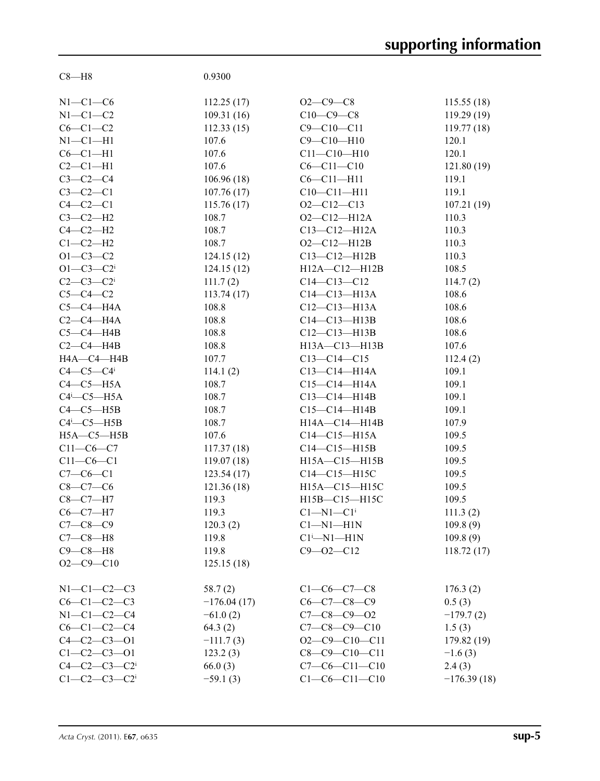| $C8 - H8$                     | 0.9300        |                                      |                    |
|-------------------------------|---------------|--------------------------------------|--------------------|
|                               |               |                                      |                    |
| $N1-C1-C6$                    | 112.25(17)    | $O2 - C9 - C8$                       | 115.55(18)         |
| $N1-C1-C2$                    | 109.31(16)    | $C10-C9-C8$                          | 119.29(19)         |
| $C6-C1-C2$                    | 112.33(15)    | $C9 - C10 - C11$                     | 119.77(18)         |
| $N1-C1-H1$                    | 107.6         | $C9 - C10 - H10$                     | 120.1              |
| $C6-C1-H1$                    | 107.6         | $C11 - C10 - H10$                    | 120.1              |
| $C2-C1-H1$                    | 107.6         | $C6 - C11 - C10$                     | 121.80(19)         |
| $C3-C2-C4$                    | 106.96(18)    | $C6 - C11 - H11$                     | 119.1              |
| $C3-C2-C1$                    | 107.76(17)    | $C10-C11-H11$                        | 119.1              |
| $C4-C2-C1$                    | 115.76(17)    | $O2 - C12 - C13$                     | 107.21(19)         |
| $C3-C2-H2$                    | 108.7         | $O2 - C12 - H12A$                    | 110.3              |
| $C4-C2-H2$                    | 108.7         | $C13 - C12 - H12A$                   | 110.3              |
|                               | 108.7         |                                      |                    |
| $C1-C2-H2$                    |               | $O2 - C12 - H12B$                    | 110.3              |
| $O1 - C3 - C2$                | 124.15(12)    | $C13-C12-H12B$                       | 110.3              |
| $O1 - C3 - C2$                | 124.15(12)    | H12A-C12-H12B                        | 108.5              |
| $C2 - C3 - C2$ <sup>i</sup>   | 111.7(2)      | $C14 - C13 - C12$                    | 114.7(2)           |
| $C5-C4-C2$                    | 113.74(17)    | $C14 - C13 - H13A$                   | 108.6              |
| $C5-C4-H4A$                   | 108.8         | $C12 - C13 - H13A$                   | 108.6              |
| $C2-C4-H4A$                   | 108.8         | $C14-C13-H13B$                       | 108.6              |
| $C5-C4-H4B$                   | 108.8         | $C12 - C13 - H13B$                   | 108.6              |
| $C2-C4-HAB$                   | 108.8         | H13A-C13-H13B                        | 107.6              |
| H4A-C4-H4B                    | 107.7         | $C13 - C14 - C15$                    | 112.4(2)           |
| $C4-C5-C4$ i                  | 114.1(2)      | $C13 - C14 - H14A$                   | 109.1              |
| $C4-C5-H5A$                   | 108.7         | $C15 - C14 - H14A$                   | 109.1              |
| $C4$ <sup>i</sup> - $C5$ -H5A | 108.7         | $C13-C14-H14B$                       | 109.1              |
| $C4-C5-HSB$                   | 108.7         | $C15-C14-H14B$                       | 109.1              |
| $C4$ <sup>i</sup> - $C5$ -H5B | 108.7         | H14A-C14-H14B                        | 107.9              |
| $H5A - C5 - H5B$              | 107.6         | $C14 - C15 - H15A$                   | 109.5              |
| $C11-C6-C7$                   | 117.37(18)    | $C14 - C15 - H15B$                   | 109.5              |
| $C11-C6-C1$                   | 119.07(18)    | H15A-C15-H15B                        | 109.5              |
| $C7-C6-C1$                    | 123.54(17)    | $C14 - C15 - H15C$                   | 109.5              |
| $C8-C7-C6$                    | 121.36(18)    | H15A-C15-H15C                        | 109.5              |
| $C8-C7-H7$                    | 119.3         | H15B-C15-H15C                        | 109.5              |
| $C6-C7-H7$                    | 119.3         | $Cl-M1-C1$ <sup>i</sup>              | 111.3(2)           |
| $C7 - C8 - C9$                | 120.3(2)      | $Cl-M1-H1N$                          | 109.8(9)           |
| $C7-C8-H8$                    | 119.8         | $Cl^{i}$ -N1-H1N                     | 109.8(9)           |
| $C9 - C8 - H8$                | 119.8         | $C9 - 02 - C12$                      | 118.72(17)         |
| $O2 - C9 - C10$               | 125.15(18)    |                                      |                    |
|                               |               |                                      |                    |
| $N1-C1-C2-C3$                 |               |                                      |                    |
| $C6 - C1 - C2 - C3$           | 58.7(2)       | $C1-C6-C7-C8$<br>$C6 - C7 - C8 - C9$ | 176.3(2)<br>0.5(3) |
|                               | $-176.04(17)$ | $C7 - C8 - C9 - O2$                  |                    |
| $N1 - C1 - C2 - C4$           | $-61.0(2)$    |                                      | $-179.7(2)$        |
| $C6 - C1 - C2 - C4$           | 64.3(2)       | $C7 - C8 - C9 - C10$                 | 1.5(3)             |
| $C4 - C2 - C3 - 01$           | $-111.7(3)$   | $O2 - C9 - C10 - C11$                | 179.82 (19)        |
| $C1 - C2 - C3 - 01$           | 123.2(3)      | $C8 - C9 - C10 - C11$                | $-1.6(3)$          |
| $C4 - C2 - C3 - C2$           | 66.0(3)       | $C7-C6-C11-C10$                      | 2.4(3)             |
| $C1-C2-C3-C2$                 | $-59.1(3)$    | $C1-C6-C11-C10$                      | $-176.39(18)$      |